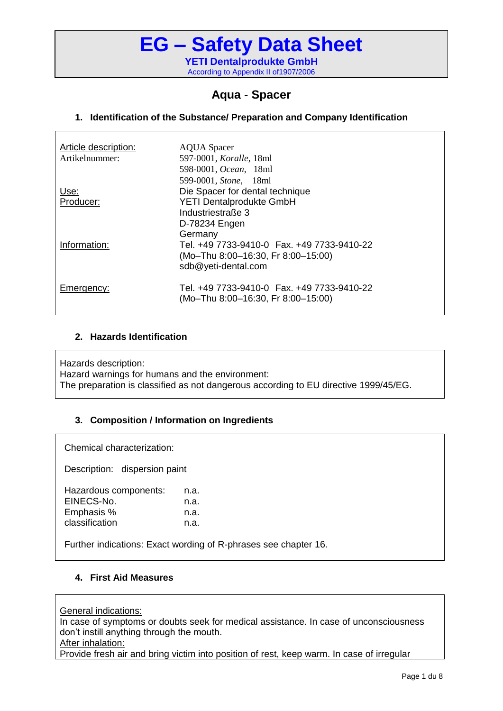### **Aqua - Spacer**

### **1. Identification of the Substance/ Preparation and Company Identification**

| Article description:<br>Artikelnummer: | <b>AQUA Spacer</b><br>597-0001, Koralle, 18ml<br>598-0001, Ocean, 18ml                                           |
|----------------------------------------|------------------------------------------------------------------------------------------------------------------|
| Use:<br>Producer:                      | 599-0001, Stone, 18ml<br>Die Spacer for dental technique<br><b>YETI Dentalprodukte GmbH</b><br>Industriestraße 3 |
| Information:                           | D-78234 Engen<br>Germany<br>(Mo-Thu 8:00-16:30, Fr 8:00-15:00)<br>sdb@yeti-dental.com                            |
| <b>Emergency:</b>                      | (Mo-Thu 8:00-16:30, Fr 8:00-15:00)                                                                               |

#### **2. Hazards Identification**

Hazards description: Hazard warnings for humans and the environment: The preparation is classified as not dangerous according to EU directive 1999/45/EG.

### **3. Composition / Information on Ingredients**

Chemical characterization:

Description: dispersion paint

| Hazardous components: | n.a. |
|-----------------------|------|
| EINECS-No.            | n.a. |
| Emphasis %            | n.a. |
| classification        | n.a. |

Further indications: Exact wording of R-phrases see chapter 16.

### **4. First Aid Measures**

General indications:

In case of symptoms or doubts seek for medical assistance. In case of unconsciousness don't instill anything through the mouth. After inhalation:

Provide fresh air and bring victim into position of rest, keep warm. In case of irregular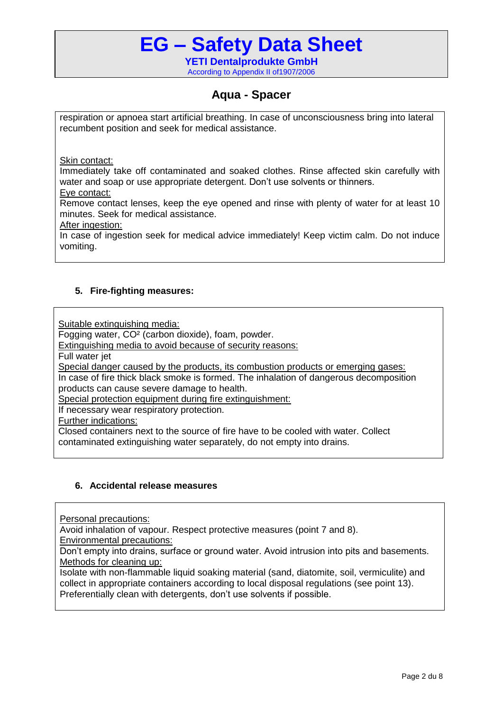### **Aqua - Spacer**

respiration or apnoea start artificial breathing. In case of unconsciousness bring into [lateral](http://www.dict.cc/englisch-deutsch/lateral.html) [recumbent](http://www.dict.cc/englisch-deutsch/recumbent.html) [position](http://www.dict.cc/englisch-deutsch/position.html) and seek for medical assistance.

Skin contact:

Immediately take off contaminated and soaked clothes. Rinse affected skin carefully with water and soap or use appropriate detergent. Don't use solvents or thinners. Eye contact:

Remove contact lenses, keep the eye opened and rinse with plenty of water for at least 10 minutes. Seek for medical assistance.

After ingestion:

In case of ingestion seek for medical advice immediately! Keep victim calm. Do not induce vomiting.

### **5. Fire-fighting measures:**

Suitable extinguishing media:

Fogging water, CO² (carbon dioxide), foam, powder.

Extinguishing media to avoid because of security reasons:

Full water jet

Special danger caused by the products, its combustion products or emerging gases:

In case of fire thick black smoke is formed. The inhalation of dangerous decomposition products can cause severe damage to health.

Special protection equipment during fire extinguishment:

If necessary wear respiratory protection.

Further indications:

Closed containers next to the source of fire have to be cooled with water. Collect contaminated extinguishing water separately, do not empty into drains.

### **6. Accidental release measures**

Personal precautions:

Avoid inhalation of vapour. Respect protective measures (point 7 and 8).

Environmental precautions:

Don't empty into drains, surface or ground water. Avoid intrusion into pits and basements. Methods for cleaning up:

Isolate with non-flammable liquid soaking material (sand, diatomite, soil, vermiculite) and collect in appropriate containers according to local disposal regulations (see point 13). Preferentially clean with detergents, don't use solvents if possible.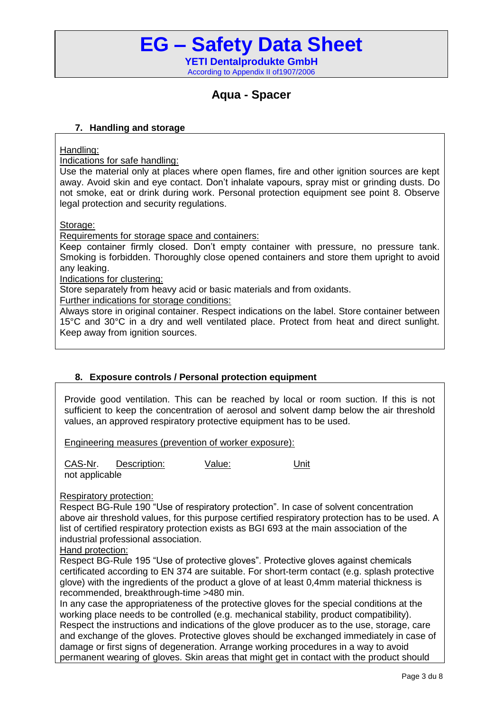### **Aqua - Spacer**

#### **7. Handling and storage**

Handling:

Indications for safe handling:

Use the material only at places where open flames, fire and other ignition sources are kept away. Avoid skin and eye contact. Don't inhalate vapours, spray mist or grinding dusts. Do not smoke, eat or drink during work. Personal protection equipment see point 8. Observe legal protection and security regulations.

Storage:

Requirements for storage space and containers:

Keep container firmly closed. Don't empty container with pressure, no pressure tank. Smoking is forbidden. Thoroughly close opened containers and store them upright to avoid any leaking.

Indications for clustering:

Store separately from heavy acid or basic materials and from oxidants.

Further indications for storage conditions:

Always store in original container. Respect indications on the label. Store container between 15°C and 30°C in a dry and well ventilated place. Protect from heat and direct sunlight. Keep away from ignition sources.

### **8. Exposure controls / Personal protection equipment**

Provide good ventilation. This can be reached by local or room suction. If this is not sufficient to keep the concentration of aerosol and solvent damp below the air threshold values, an approved respiratory protective equipment has to be used.

Engineering measures (prevention of worker exposure):

CAS-Nr. Description: Value: Unit not applicable

Respiratory protection:

Respect BG-Rule 190 "Use of respiratory protection". In case of solvent concentration above air threshold values, for this purpose certified respiratory protection has to be used. A list of certified respiratory protection exists as BGI 693 at the main association of the industrial professional association.

#### Hand protection:

Respect BG-Rule 195 "Use of protective gloves". Protective gloves against chemicals certificated according to EN 374 are suitable. For short-term contact (e.g. splash protective glove) with the ingredients of the product a glove of at least 0,4mm material thickness is recommended, breakthrough-time >480 min.

In any case the appropriateness of the protective gloves for the special conditions at the working place needs to be controlled (e.g. mechanical stability, product compatibility). Respect the instructions and indications of the glove producer as to the use, storage, care and exchange of the gloves. Protective gloves should be exchanged immediately in case of damage or first signs of degeneration. Arrange working procedures in a way to avoid permanent wearing of gloves. Skin areas that might get in contact with the product should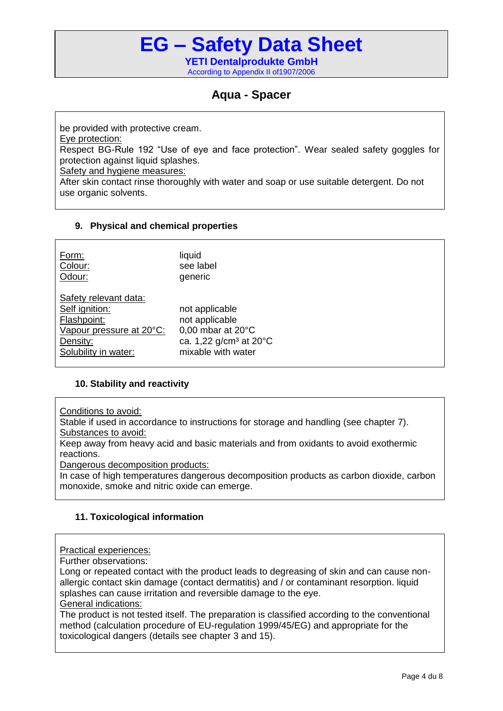## **Aqua - Spacer**

be provided with protective cream. Eye protection: Respect BG-Rule 192 "Use of eye and face protection". Wear sealed safety goggles for protection against liquid splashes. Safety and hygiene measures: After skin contact rinse thoroughly with water and soap or use suitable detergent. Do not use organic solvents.

### **9. Physical and chemical properties**

| Form:                                                                                                                  | liquid                                                                                                                      |
|------------------------------------------------------------------------------------------------------------------------|-----------------------------------------------------------------------------------------------------------------------------|
| Colour:                                                                                                                | see label                                                                                                                   |
| Odour:                                                                                                                 | generic                                                                                                                     |
| Safety relevant data:<br>Self ignition:<br>Flashpoint:<br>Vapour pressure at 20°C:<br>Density:<br>Solubility in water: | not applicable<br>not applicable<br>0,00 mbar at $20^{\circ}$ C<br>ca. 1,22 g/cm <sup>3</sup> at 20°C<br>mixable with water |

### **10. Stability and reactivity**

Conditions to avoid:

Stable if used in accordance to instructions for storage and handling (see chapter 7). Substances to avoid:

Keep away from heavy acid and basic materials and from oxidants to avoid exothermic reactions.

Dangerous decomposition products:

In case of high temperatures dangerous decomposition products as carbon dioxide, carbon monoxide, smoke and nitric oxide can emerge.

### **11. Toxicological information**

Practical experiences:

Further observations:

Long or repeated contact with the product leads to degreasing of skin and can cause nonallergic contact skin damage (contact dermatitis) and / or contaminant resorption. liquid splashes can cause irritation and reversible damage to the eye. General indications:

The product is not tested itself. The preparation is classified according to the conventional method (calculation procedure of EU-regulation 1999/45/EG) and appropriate for the toxicological dangers (details see chapter 3 and 15).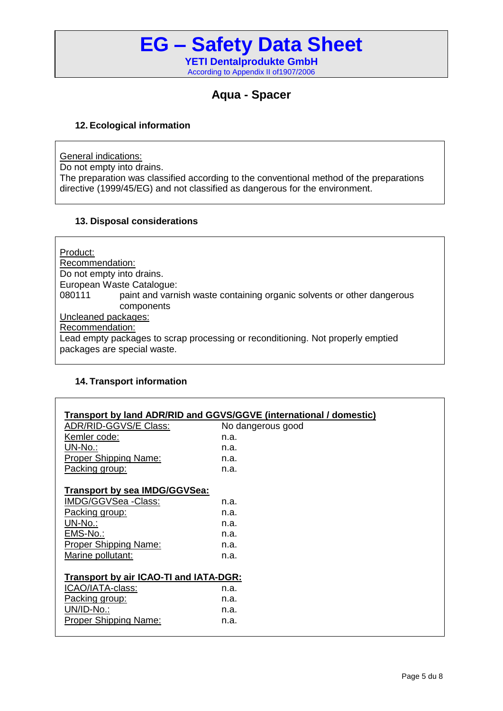### **Aqua - Spacer**

### **12. Ecological information**

General indications:

Do not empty into drains. The preparation was classified according to the conventional method of the preparations directive (1999/45/EG) and not classified as dangerous for the environment.

### **13. Disposal considerations**

Product: Recommendation: Do not empty into drains. European Waste Catalogue: 080111 paint and varnish waste containing organic solvents or other dangerous components Uncleaned packages: Recommendation: Lead empty packages to scrap processing or reconditioning. Not properly emptied packages are special waste.

### **14. Transport information**

| Transport by land ADR/RID and GGVS/GGVE (international / domestic) |                   |  |
|--------------------------------------------------------------------|-------------------|--|
| ADR/RID-GGVS/E Class:                                              | No dangerous good |  |
| Kemler code:                                                       | n.a.              |  |
| UN-No.:                                                            | n.a.              |  |
| Proper Shipping Name:                                              | n.a.              |  |
| Packing group:                                                     | n.a.              |  |
|                                                                    |                   |  |
| <b>Transport by sea IMDG/GGVSea:</b>                               |                   |  |
| IMDG/GGVSea -Class:                                                | n.a.              |  |
| Packing group:                                                     | n.a.              |  |
| UN-No.:                                                            | n.a.              |  |
| EMS-No.:                                                           | n.a.              |  |
| <b>Proper Shipping Name:</b>                                       | n.a.              |  |
| Marine pollutant:                                                  | n.a.              |  |
|                                                                    |                   |  |
| Transport by air ICAO-TI and IATA-DGR:                             |                   |  |
| ICAO/IATA-class:                                                   | n.a.              |  |
| Packing group:                                                     | n.a.              |  |
| UN/ID-No.:                                                         | n.a.              |  |
| <b>Proper Shipping Name:</b>                                       | n.a.              |  |
|                                                                    |                   |  |